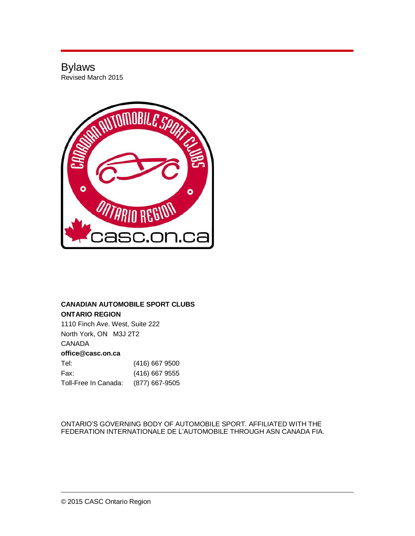# Bylaws Revised March 2015



# **CANADIAN AUTOMOBILE SPORT CLUBS ONTARIO REGION**

1110 Finch Ave. West, Suite 222 North York, ON M3J 2T2 CANADA **[office@casc.on.ca](mailto:office@casc.on.ca)** Tel: (416) 667 9500

| Fax:                 | (416) 667 9555 |
|----------------------|----------------|
| Toll-Free In Canada: | (877) 667-9505 |

ONTARIO'S GOVERNING BODY OF AUTOMOBILE SPORT. AFFILIATED WITH THE FEDERATION INTERNATIONALE DE L'AUTOMOBILE THROUGH ASN CANADA FIA.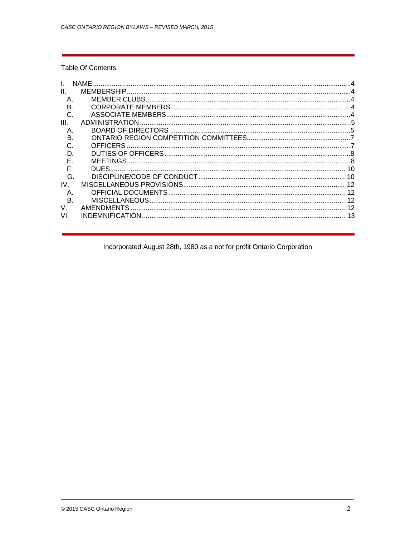# **Table Of Contents**

|                 | <b>NAMF</b>               |  |
|-----------------|---------------------------|--|
| $\mathbf{II}$ . | MEMBERSHIP.               |  |
| A               | <b>MEMBER CLUBS</b>       |  |
| R               | CORPORATE MEMBERS         |  |
| C.              |                           |  |
| III.            | ADMINISTRATION            |  |
| Α.              | <b>BOARD OF DIRECTORS</b> |  |
| B               |                           |  |
|                 | <b>OFFICERS</b>           |  |
| D               |                           |  |
|                 | MEETINGS.                 |  |
|                 | DUES.                     |  |
| G.              |                           |  |
| IV              |                           |  |
| Α.              |                           |  |
| B.              |                           |  |
| V.              | <b>AMENDMENTS</b>         |  |
| VI.             | <b>INDEMNIFICATION</b>    |  |

# Incorporated August 28th, 1980 as a not for profit Ontario Corporation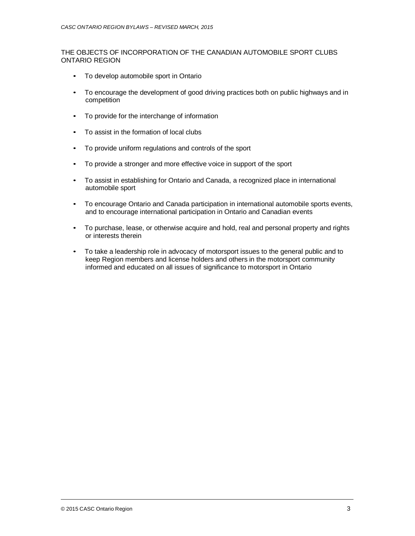## THE OBJECTS OF INCORPORATION OF THE CANADIAN AUTOMOBILE SPORT CLUBS ONTARIO REGION

- To develop automobile sport in Ontario
- To encourage the development of good driving practices both on public highways and in competition
- To provide for the interchange of information
- To assist in the formation of local clubs
- To provide uniform regulations and controls of the sport
- To provide a stronger and more effective voice in support of the sport
- To assist in establishing for Ontario and Canada, a recognized place in international automobile sport
- To encourage Ontario and Canada participation in international automobile sports events, and to encourage international participation in Ontario and Canadian events
- To purchase, lease, or otherwise acquire and hold, real and personal property and rights or interests therein
- To take a leadership role in advocacy of motorsport issues to the general public and to keep Region members and license holders and others in the motorsport community informed and educated on all issues of significance to motorsport in Ontario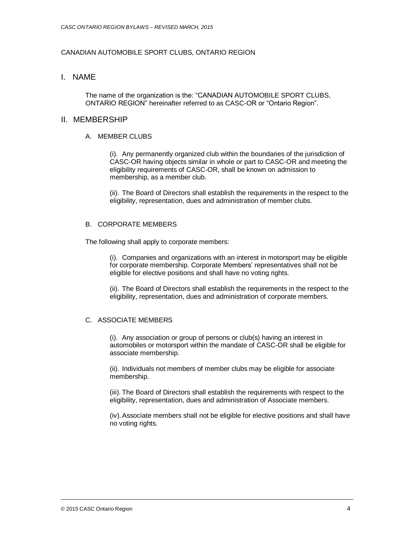# CANADIAN AUTOMOBILE SPORT CLUBS, ONTARIO REGION

# I. NAME

The name of the organization is the: "CANADIAN AUTOMOBILE SPORT CLUBS, ONTARIO REGION" hereinafter referred to as CASC-OR or "Ontario Region".

## II. MEMBERSHIP

### A MEMBER CLUBS

(i). Any permanently organized club within the boundaries of the jurisdiction of CASC-OR having objects similar in whole or part to CASC-OR and meeting the eligibility requirements of CASC-OR, shall be known on admission to membership, as a member club.

(ii). The Board of Directors shall establish the requirements in the respect to the eligibility, representation, dues and administration of member clubs.

## B. CORPORATE MEMBERS

The following shall apply to corporate members:

(i). Companies and organizations with an interest in motorsport may be eligible for corporate membership. Corporate Members' representatives shall not be eligible for elective positions and shall have no voting rights.

(ii). The Board of Directors shall establish the requirements in the respect to the eligibility, representation, dues and administration of corporate members.

# C. ASSOCIATE MEMBERS

(i). Any association or group of persons or club(s) having an interest in automobiles or motorsport within the mandate of CASC-OR shall be eligible for associate membership.

(ii). Individuals not members of member clubs may be eligible for associate membership.

(iii). The Board of Directors shall establish the requirements with respect to the eligibility, representation, dues and administration of Associate members.

(iv).Associate members shall not be eligible for elective positions and shall have no voting rights.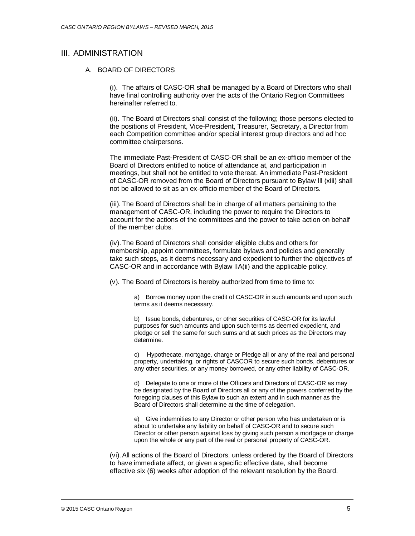# III. ADMINISTRATION

#### A. BOARD OF DIRECTORS

(i). The affairs of CASC-OR shall be managed by a Board of Directors who shall have final controlling authority over the acts of the Ontario Region Committees hereinafter referred to.

(ii). The Board of Directors shall consist of the following; those persons elected to the positions of President, Vice-President, Treasurer, Secretary, a Director from each Competition committee and/or special interest group directors and ad hoc committee chairpersons.

The immediate Past-President of CASC-OR shall be an ex-officio member of the Board of Directors entitled to notice of attendance at, and participation in meetings, but shall not be entitled to vote thereat. An immediate Past-President of CASC-OR removed from the Board of Directors pursuant to Bylaw Ill (xiii) shall not be allowed to sit as an ex-officio member of the Board of Directors.

(iii). The Board of Directors shall be in charge of all matters pertaining to the management of CASC-OR, including the power to require the Directors to account for the actions of the committees and the power to take action on behalf of the member clubs.

(iv).The Board of Directors shall consider eligible clubs and others for membership, appoint committees, formulate bylaws and policies and generally take such steps, as it deems necessary and expedient to further the objectives of CASC-OR and in accordance with Bylaw IIA(ii) and the applicable policy.

(v). The Board of Directors is hereby authorized from time to time to:

a) Borrow money upon the credit of CASC-OR in such amounts and upon such terms as it deems necessary.

b) Issue bonds, debentures, or other securities of CASC-OR for its lawful purposes for such amounts and upon such terms as deemed expedient, and pledge or sell the same for such sums and at such prices as the Directors may determine.

c) Hypothecate, mortgage, charge or Pledge all or any of the real and personal property, undertaking, or rights of CASCOR to secure such bonds, debentures or any other securities, or any money borrowed, or any other liability of CASC-OR.

d) Delegate to one or more of the Officers and Directors of CASC-OR as may be designated by the Board of Directors all or any of the powers conferred by the foregoing clauses of this Bylaw to such an extent and in such manner as the Board of Directors shall determine at the time of delegation.

e) Give indemnities to any Director or other person who has undertaken or is about to undertake any liability on behalf of CASC-OR and to secure such Director or other person against loss by giving such person a mortgage or charge upon the whole or any part of the real or personal property of CASC-OR.

(vi).All actions of the Board of Directors, unless ordered by the Board of Directors to have immediate affect, or given a specific effective date, shall become effective six (6) weeks after adoption of the relevant resolution by the Board.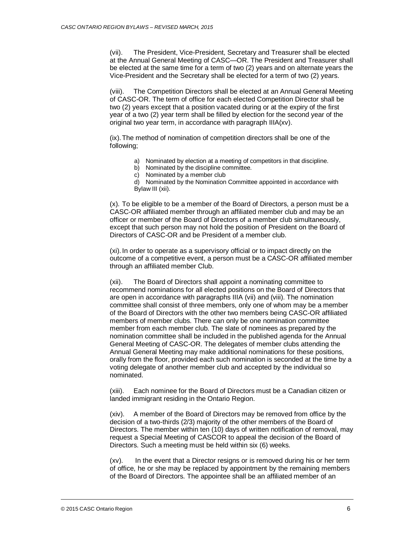(vii). The President, Vice-President, Secretary and Treasurer shall be elected at the Annual General Meeting of CASC—OR. The President and Treasurer shall be elected at the same time for a term of two (2) years and on alternate years the Vice-President and the Secretary shall be elected for a term of two (2) years.

(viii). The Competition Directors shall be elected at an Annual General Meeting of CASC-OR. The term of office for each elected Competition Director shall be two (2) years except that a position vacated during or at the expiry of the first year of a two (2) year term shall be filled by election for the second year of the original two year term, in accordance with paragraph IIIA(xv).

(ix).The method of nomination of competition directors shall be one of the following;

- a) Nominated by election at a meeting of competitors in that discipline.
- b) Nominated by the discipline committee.
- c) Nominated by a member club

d) Nominated by the Nomination Committee appointed in accordance with Bylaw III (xii).

(x). To be eligible to be a member of the Board of Directors, a person must be a CASC-OR affiliated member through an affiliated member club and may be an officer or member of the Board of Directors of a member club simultaneously, except that such person may not hold the position of President on the Board of Directors of CASC-OR and be President of a member club.

(xi). In order to operate as a supervisory official or to impact directly on the outcome of a competitive event, a person must be a CASC-OR affiliated member through an affiliated member Club.

(xii). The Board of Directors shall appoint a nominating committee to recommend nominations for all elected positions on the Board of Directors that are open in accordance with paragraphs IIIA (vii) and (viii). The nomination committee shall consist of three members, only one of whom may be a member of the Board of Directors with the other two members being CASC-OR affiliated members of member clubs. There can only be one nomination committee member from each member club. The slate of nominees as prepared by the nomination committee shall be included in the published agenda for the Annual General Meeting of CASC-OR. The delegates of member clubs attending the Annual General Meeting may make additional nominations for these positions, orally from the floor, provided each such nomination is seconded at the time by a voting delegate of another member club and accepted by the individual so nominated.

(xiii). Each nominee for the Board of Directors must be a Canadian citizen or landed immigrant residing in the Ontario Region.

(xiv). A member of the Board of Directors may be removed from office by the decision of a two-thirds (2/3) majority of the other members of the Board of Directors. The member within ten (10) days of written notification of removal, may request a Special Meeting of CASCOR to appeal the decision of the Board of Directors. Such a meeting must be held within six (6) weeks.

(xv). In the event that a Director resigns or is removed during his or her term of office, he or she may be replaced by appointment by the remaining members of the Board of Directors. The appointee shall be an affiliated member of an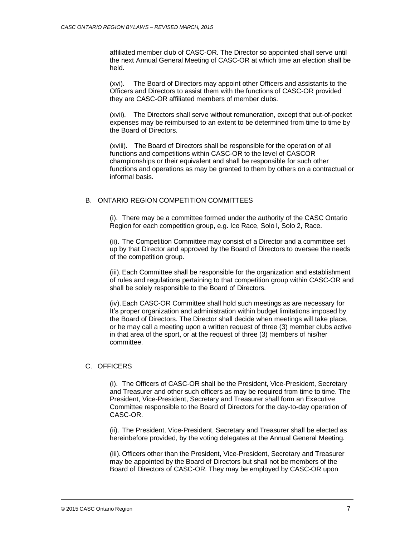affiliated member club of CASC-OR. The Director so appointed shall serve until the next Annual General Meeting of CASC-OR at which time an election shall be held.

(xvi). The Board of Directors may appoint other Officers and assistants to the Officers and Directors to assist them with the functions of CASC-OR provided they are CASC-OR affiliated members of member clubs.

(xvii). The Directors shall serve without remuneration, except that out-of-pocket expenses may be reimbursed to an extent to be determined from time to time by the Board of Directors.

(xviii). The Board of Directors shall be responsible for the operation of all functions and competitions within CASC-OR to the level of CASCOR championships or their equivalent and shall be responsible for such other functions and operations as may be granted to them by others on a contractual or informal basis.

# B. ONTARIO REGION COMPETITION COMMITTEES

(i). There may be a committee formed under the authority of the CASC Ontario Region for each competition group, e.g. Ice Race, Solo l, Solo 2, Race.

(ii). The Competition Committee may consist of a Director and a committee set up by that Director and approved by the Board of Directors to oversee the needs of the competition group.

(iii). Each Committee shall be responsible for the organization and establishment of rules and regulations pertaining to that competition group within CASC-OR and shall be solely responsible to the Board of Directors.

(iv).Each CASC-OR Committee shall hold such meetings as are necessary for It's proper organization and administration within budget limitations imposed by the Board of Directors. The Director shall decide when meetings will take place, or he may call a meeting upon a written request of three (3) member clubs active in that area of the sport, or at the request of three (3) members of his/her committee.

## C. OFFICERS

(i). The Officers of CASC-OR shall be the President, Vice-President, Secretary and Treasurer and other such officers as may be required from time to time. The President, Vice-President, Secretary and Treasurer shall form an Executive Committee responsible to the Board of Directors for the day-to-day operation of CASC-OR.

(ii). The President, Vice-President, Secretary and Treasurer shall be elected as hereinbefore provided, by the voting delegates at the Annual General Meeting.

(iii). Officers other than the President, Vice-President, Secretary and Treasurer may be appointed by the Board of Directors but shall not be members of the Board of Directors of CASC-OR. They may be employed by CASC-OR upon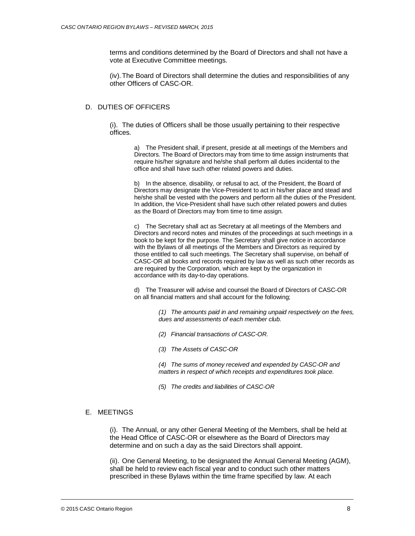terms and conditions determined by the Board of Directors and shall not have a vote at Executive Committee meetings.

(iv).The Board of Directors shall determine the duties and responsibilities of any other Officers of CASC-OR.

#### D. DUTIES OF OFFICERS

(i). The duties of Officers shall be those usually pertaining to their respective offices.

> a) The President shall, if present, preside at all meetings of the Members and Directors. The Board of Directors may from time to time assign instruments that require his/her signature and he/she shall perform all duties incidental to the office and shall have such other related powers and duties.

b) In the absence, disability, or refusal to act, of the President, the Board of Directors may designate the Vice-President to act in his/her place and stead and he/she shall be vested with the powers and perform all the duties of the President. In addition, the Vice-President shall have such other related powers and duties as the Board of Directors may from time to time assign.

c) The Secretary shall act as Secretary at all meetings of the Members and Directors and record notes and minutes of the proceedings at such meetings in a book to be kept for the purpose. The Secretary shall give notice in accordance with the Bylaws of all meetings of the Members and Directors as required by those entitled to call such meetings. The Secretary shall supervise, on behalf of CASC-OR all books and records required by law as well as such other records as are required by the Corporation, which are kept by the organization in accordance with its day-to-day operations.

d) The Treasurer will advise and counsel the Board of Directors of CASC-OR on all financial matters and shall account for the following;

> *(1) The amounts paid in and remaining unpaid respectively on the fees, dues and assessments of each member club.*

- *(2) Financial transactions of CASC-OR.*
- *(3) The Assets of CASC-OR*

*(4) The sums of money received and expended by CASC-OR and matters in respect of which receipts and expenditures took place.*

*(5) The credits and liabilities of CASC-OR*

#### E. MEETINGS

(i). The Annual, or any other General Meeting of the Members, shall be held at the Head Office of CASC-OR or elsewhere as the Board of Directors may determine and on such a day as the said Directors shall appoint.

(ii). One General Meeting, to be designated the Annual General Meeting (AGM), shall be held to review each fiscal year and to conduct such other matters prescribed in these Bylaws within the time frame specified by law. At each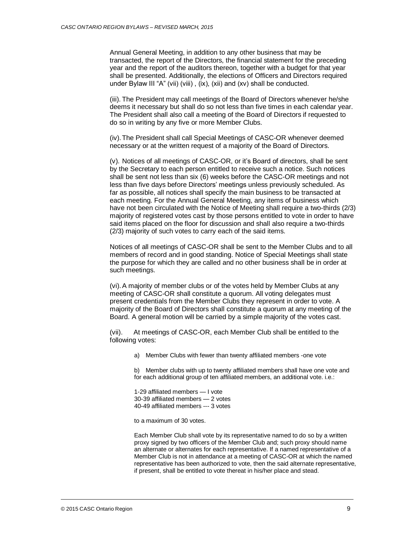Annual General Meeting, in addition to any other business that may be transacted, the report of the Directors, the financial statement for the preceding year and the report of the auditors thereon, together with a budget for that year shall be presented. Additionally, the elections of Officers and Directors required under Bylaw III "A" (vii) (viii) , (ix), (xii) and (xv) shall be conducted.

(iii). The President may call meetings of the Board of Directors whenever he/she deems it necessary but shall do so not less than five times in each calendar year. The President shall also call a meeting of the Board of Directors if requested to do so in writing by any five or more Member Clubs.

(iv).The President shall call Special Meetings of CASC-OR whenever deemed necessary or at the written request of a majority of the Board of Directors.

(v). Notices of all meetings of CASC-OR, or it's Board of directors, shall be sent by the Secretary to each person entitled to receive such a notice. Such notices shall be sent not less than six (6) weeks before the CASC-OR meetings and not less than five days before Directors' meetings unless previously scheduled. As far as possible, all notices shall specify the main business to be transacted at each meeting. For the Annual General Meeting, any items of business which have not been circulated with the Notice of Meeting shall require a two-thirds (2/3) majority of registered votes cast by those persons entitled to vote in order to have said items placed on the floor for discussion and shall also require a two-thirds (2/3) majority of such votes to carry each of the said items.

Notices of all meetings of CASC-OR shall be sent to the Member Clubs and to all members of record and in good standing. Notice of Special Meetings shall state the purpose for which they are called and no other business shall be in order at such meetings.

(vi).A majority of member clubs or of the votes held by Member Clubs at any meeting of CASC-OR shall constitute a quorum. All voting delegates must present credentials from the Member Clubs they represent in order to vote. A majority of the Board of Directors shall constitute a quorum at any meeting of the Board. A general motion will be carried by a simple majority of the votes cast.

(vii). At meetings of CASC-OR, each Member Club shall be entitled to the following votes:

a) Member Clubs with fewer than twenty affiliated members -one vote

b) Member clubs with up to twenty affiliated members shall have one vote and for each additional group of ten affiliated members, an additional vote. i.e.:

1-29 affiliated members — I vote 30-39 affiliated members — 2 votes 40-49 affiliated members --- 3 votes

to a maximum of 30 votes.

Each Member Club shall vote by its representative named to do so by a written proxy signed by two officers of the Member Club and; such proxy should name an alternate or alternates for each representative. If a named representative of a Member Club is not in attendance at a meeting of CASC-OR at which the named representative has been authorized to vote, then the said alternate representative, if present, shall be entitled to vote thereat in his/her place and stead.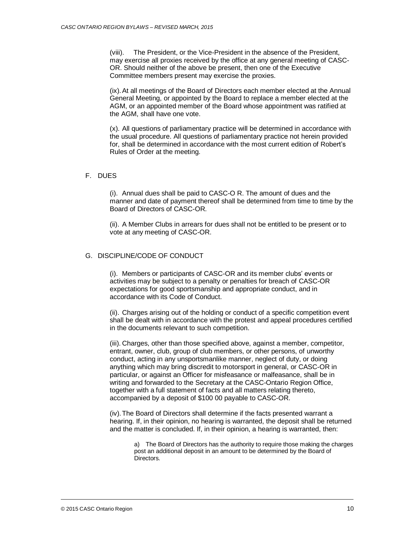(viii). The President, or the Vice-President in the absence of the President, may exercise all proxies received by the office at any general meeting of CASC-OR. Should neither of the above be present, then one of the Executive Committee members present may exercise the proxies.

(ix).At all meetings of the Board of Directors each member elected at the Annual General Meeting, or appointed by the Board to replace a member elected at the AGM, or an appointed member of the Board whose appointment was ratified at the AGM, shall have one vote.

(x). All questions of parliamentary practice will be determined in accordance with the usual procedure. All questions of parliamentary practice not herein provided for, shall be determined in accordance with the most current edition of Robert's Rules of Order at the meeting.

#### F. DUES

(i). Annual dues shall be paid to CASC-O R. The amount of dues and the manner and date of payment thereof shall be determined from time to time by the Board of Directors of CASC-OR.

(ii). A Member Clubs in arrears for dues shall not be entitled to be present or to vote at any meeting of CASC-OR.

## G. DISCIPLINE/CODE OF CONDUCT

(i). Members or participants of CASC-OR and its member clubs' events or activities may be subject to a penalty or penalties for breach of CASC-OR expectations for good sportsmanship and appropriate conduct, and in accordance with its Code of Conduct.

(ii). Charges arising out of the holding or conduct of a specific competition event shall be dealt with in accordance with the protest and appeal procedures certified in the documents relevant to such competition.

(iii). Charges, other than those specified above, against a member, competitor, entrant, owner, club, group of club members, or other persons, of unworthy conduct, acting in any unsportsmanlike manner, neglect of duty, or doing anything which may bring discredit to motorsport in general, or CASC-OR in particular, or against an Officer for misfeasance or malfeasance, shall be in writing and forwarded to the Secretary at the CASC-Ontario Region Office, together with a full statement of facts and all matters relating thereto, accompanied by a deposit of \$100 00 payable to CASC-OR.

(iv).The Board of Directors shall determine if the facts presented warrant a hearing. If, in their opinion, no hearing is warranted, the deposit shall be returned and the matter is concluded. If, in their opinion, a hearing is warranted, then:

a) The Board of Directors has the authority to require those making the charges post an additional deposit in an amount to be determined by the Board of Directors.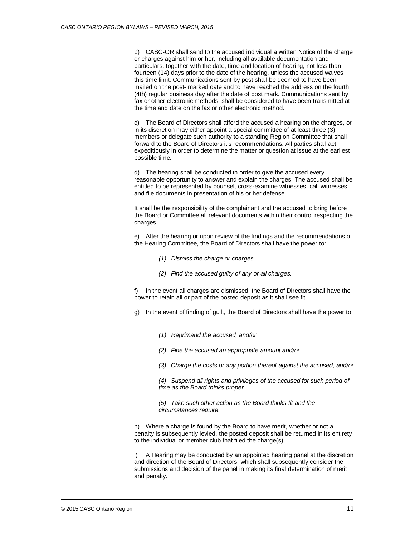b) CASC-OR shall send to the accused individual a written Notice of the charge or charges against him or her, including all available documentation and particulars, together with the date, time and location of hearing, not less than fourteen (14) days prior to the date of the hearing, unless the accused waives this time limit. Communications sent by post shall be deemed to have been mailed on the post- marked date and to have reached the address on the fourth (4th) regular business day after the date of post mark. Communications sent by fax or other electronic methods, shall be considered to have been transmitted at the time and date on the fax or other electronic method.

c) The Board of Directors shall afford the accused a hearing on the charges, or in its discretion may either appoint a special committee of at least three (3) members or delegate such authority to a standing Region Committee that shall forward to the Board of Directors it's recommendations. All parties shall act expeditiously in order to determine the matter or question at issue at the earliest possible time.

d) The hearing shall be conducted in order to give the accused every reasonable opportunity to answer and explain the charges. The accused shall be entitled to be represented by counsel, cross-examine witnesses, call witnesses, and file documents in presentation of his or her defense.

It shall be the responsibility of the complainant and the accused to bring before the Board or Committee all relevant documents within their control respecting the charges.

e) After the hearing or upon review of the findings and the recommendations of the Hearing Committee, the Board of Directors shall have the power to:

- *(1) Dismiss the charge or charges.*
- *(2) Find the accused guilty of any or all charges.*

f) In the event all charges are dismissed, the Board of Directors shall have the power to retain all or part of the posted deposit as it shall see fit.

g) In the event of finding of guilt, the Board of Directors shall have the power to:

- *(1) Reprimand the accused, and/or*
- *(2) Fine the accused an appropriate amount and/or*
- *(3) Charge the costs or any portion thereof against the accused, and/or*

*(4) Suspend all rights and privileges of the accused for such period of time as the Board thinks proper.*

*(5) Take such other action as the Board thinks fit and the circumstances require.*

h) Where a charge is found by the Board to have merit, whether or not a penalty is subsequently levied, the posted deposit shall be returned in its entirety to the individual or member club that filed the charge(s).

i) A Hearing may be conducted by an appointed hearing panel at the discretion and direction of the Board of Directors, which shall subsequently consider the submissions and decision of the panel in making its final determination of merit and penalty.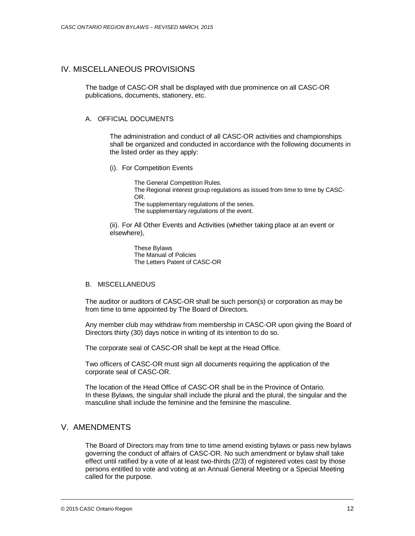# IV. MISCELLANEOUS PROVISIONS

The badge of CASC-OR shall be displayed with due prominence on all CASC-OR publications, documents, stationery, etc.

## A. OFFICIAL DOCUMENTS

The administration and conduct of all CASC-OR activities and championships shall be organized and conducted in accordance with the following documents in the listed order as they apply:

(i). For Competition Events

The General Competition Rules. The Regional interest group regulations as issued from time to time by CASC-OR. The supplementary regulations of the series.

The supplementary regulations of the event.

(ii). For All Other Events and Activities (whether taking place at an event or elsewhere),

> These Bylaws The Manual of Policies The Letters Patent of CASC-OR

#### B. MISCELLANEOUS

The auditor or auditors of CASC-OR shall be such person(s) or corporation as may be from time to time appointed by The Board of Directors.

Any member club may withdraw from membership in CASC-OR upon giving the Board of Directors thirty (30) days notice in writing of its intention to do so.

The corporate seal of CASC-OR shall be kept at the Head Office.

Two officers of CASC-OR must sign all documents requiring the application of the corporate seal of CASC-OR.

The location of the Head Office of CASC-OR shall be in the Province of Ontario. In these Bylaws, the singular shall include the plural and the plural, the singular and the masculine shall include the feminine and the feminine the masculine.

# V. AMENDMENTS

The Board of Directors may from time to time amend existing bylaws or pass new bylaws governing the conduct of affairs of CASC-OR. No such amendment or bylaw shall take effect until ratified by a vote of at least two-thirds (2/3) of registered votes cast by those persons entitled to vote and voting at an Annual General Meeting or a Special Meeting called for the purpose.